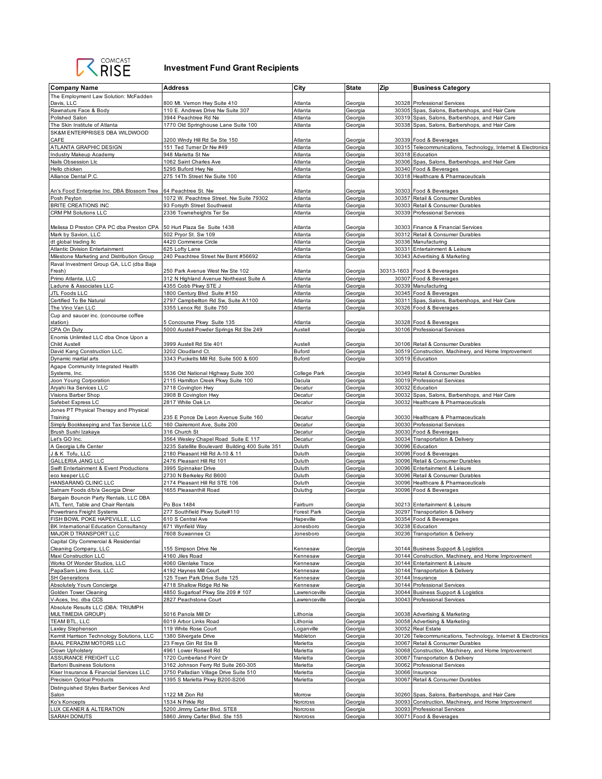

## **Investment Fund Grant Recipients**

| <b>Company Name</b>                                                           | <b>Address</b>                                                                         | City               | State              | Zip   | <b>Business Category</b>                                        |
|-------------------------------------------------------------------------------|----------------------------------------------------------------------------------------|--------------------|--------------------|-------|-----------------------------------------------------------------|
| The Employment Law Solution: McFadden                                         |                                                                                        |                    |                    |       |                                                                 |
| Davis, LLC                                                                    | 800 Mt. Vernon Hwy Suite 410                                                           | Atlanta            | Georgia            |       | 30328 Professional Services                                     |
| Rawnature Face & Body                                                         | 110 E. Andrews Drive Nw Suite 307                                                      | Atlanta            | Georgia            |       | 30305 Spas, Salons, Barbershops, and Hair Care                  |
| Polished Salon                                                                | 3944 Peachtree Rd Ne                                                                   | Atlanta            | Georgia            |       | 30319 Spas, Salons, Barbershops, and Hair Care                  |
| The Skin Institute of Atlanta                                                 | 1770 Old Springhouse Lane Suite 100                                                    | Atlanta            | Georgia            |       | 30338 Spas, Salons, Barbershops, and Hair Care                  |
| SK&M ENTERPRISES DBA WILDWOOD                                                 |                                                                                        |                    |                    |       |                                                                 |
| CAFE                                                                          | 3200 Windy Hill Rd Se Ste 150                                                          | Atlanta            | Georgia            |       | 30339 Food & Beverages                                          |
| ATLANTA GRAPHIC DESIGN                                                        | 151 Ted Turner Dr Nw #49                                                               | Atlanta            | Georgia            |       | 30315 Telecommunications, Technology, Internet & Electronics    |
| Industry Makeup Academy                                                       | 948 Marietta St Nw                                                                     | Atlanta            | Georgia            |       | 30318 Education                                                 |
| Nails Obsession Llc                                                           | 1062 Saint Charles Ave                                                                 | Atlanta            | Georgia            |       | 30306 Spas, Salons, Barbershops, and Hair Care                  |
| Hello chicken                                                                 | 5295 Buford Hwy Ne                                                                     | Atlanta            | Georgia            |       | 30340 Food & Beverages                                          |
| Alliance Dental P.C.                                                          | 275 14Th Street Nw Suite 100                                                           | Atlanta            | Georgia            |       | 30318 Healthcare & Pharmaceuticals                              |
|                                                                               |                                                                                        |                    |                    |       |                                                                 |
| An's Food Enterprise Inc. DBA Blossom Tree 64 Peachtree St. Nw                |                                                                                        | Atlanta            | Georgia            |       | 30303 Food & Beverages                                          |
| Posh Peyton                                                                   | 1072 W. Peachtree Street. Nw Suite 79302                                               | Atlanta            | Georgia            |       | 30357 Retail & Consumer Durables                                |
| BRITE CREATIONS INC<br>CRM PM Solutions LLC                                   | 93 Forsyth Street Southwest<br>2336 Towneheights Ter Se                                | Atlanta<br>Atlanta | Georgia            |       | 30303 Retail & Consumer Durables<br>30339 Professional Services |
|                                                                               |                                                                                        |                    | Georgia            |       |                                                                 |
| Melissa D Preston CPA PC dba Preston CPA                                      | 50 Hurt Plaza Se Suite 1438                                                            | Atlanta            | Georgia            |       | 30303 Finance & Financial Services                              |
| Mark by Savion, LLC                                                           | 502 Pryor St. Sw 109                                                                   | Atlanta            | Georgia            |       | 30312 Retail & Consumer Durables                                |
| dt global trading llc                                                         | 4420 Commerce Circle                                                                   | Atlanta            | Georgia            |       | 30336 Manufacturing                                             |
| <b>Atlantic Division Entertainment</b>                                        | 625 Lofty Lane                                                                         | Atlanta            | Georgia            |       | 30331 Entertainment & Leisure                                   |
| Milestone Marketing and Distribution Group                                    | 240 Peachtree Street Nw Bsmt #56692                                                    | Atlanta            | Georgia            |       | 30343 Advertising & Marketing                                   |
| Raval Investment Group GA, LLC (dba Baja                                      |                                                                                        |                    |                    |       |                                                                 |
| Fresh)                                                                        | 250 Park Avenue West Nw Ste 102                                                        | Atlanta            | Georgia            |       | 30313-1603 Food & Beverages                                     |
| Primo Atlanta, LLC                                                            | 312 N Highland Avenue Northeast Suite A                                                | Atlanta            | Georgia            |       | 30307 Food & Beverages                                          |
| Ladune & Associates LLC                                                       | 4355 Cobb Pkwy STE J                                                                   | Atlanta            | Georgia            |       | 30339 Manufacturing                                             |
| JTL Foods LLC                                                                 | 1800 Century Blvd Suite #150                                                           | Atlanta            | Georgia            |       | 30345 Food & Beverages                                          |
| Certified To Be Natural                                                       | 2797 Campbellton Rd Sw, Suite A1100                                                    | Atlanta            | Georgia            |       | 30311 Spas, Salons, Barbershops, and Hair Care                  |
| The Vino Van LLC                                                              | 3355 Lenox Rd Suite 750                                                                | Atlanta            | Georgia            |       | 30326 Food & Beverages                                          |
| Cup and saucer inc. (concourse coffee                                         |                                                                                        |                    |                    |       |                                                                 |
| station)                                                                      | 5 Concourse Pkwy Suite 135                                                             | Atlanta            | Georgia            |       | 30328 Food & Beverages                                          |
| CPA On Duty                                                                   | 5000 Austell Powder Springs Rd Ste 249                                                 | Austell            | Georgia            |       | 30106 Professional Services                                     |
| Enomis Unlimited LLC dba Once Upon a                                          |                                                                                        |                    |                    |       |                                                                 |
| <b>Child Austell</b>                                                          | 3999 Austell Rd Ste 401                                                                | Austell            | Georgia            |       | 30106 Retail & Consumer Durables                                |
| David Kang Construction LLC.                                                  | 3202 Cloudland Ct.                                                                     | Buford             | Georgia            |       | 30519 Construction, Machinery, and Home Improvement             |
| Dynamic martial arts                                                          | 3343 Pucketts Mill Rd. Suite 500 & 600                                                 | Buford             | Georgia            |       | 30519 Education                                                 |
| Agape Community Integrated Health                                             |                                                                                        |                    |                    |       |                                                                 |
| Systems, Inc.                                                                 | 5536 Old National Highway Suite 300                                                    | College Park       | Georgia            |       | 30349 Retail & Consumer Durables                                |
| Joon Young Corporation                                                        | 2115 Hamilton Creek Pkwy Suite 100                                                     | Dacula             | Georgia            |       | 30019 Professional Services                                     |
| Aryahi Ika Services LLC                                                       | 3718 Covington Hwy                                                                     | Decatur            | Georgia            |       | 30032 Education                                                 |
| Visions Barber Shop                                                           | 3908 B Covington Hwy                                                                   | Decatur            | Georgia            | 30032 | Spas, Salons, Barbershops, and Hair Care                        |
| Safebet Express LC                                                            | 2817 White Oak Ln                                                                      | Decatur            | Georgia            | 30032 | Healthcare & Pharmaceuticals                                    |
| Jones PT Physical Therapy and Physical                                        |                                                                                        |                    |                    |       |                                                                 |
| Training                                                                      | 235 E Ponce De Leon Avenue Suite 160                                                   | Decatur            | Georgia            |       | 30030 Healthcare & Pharmaceuticals                              |
| Simply Bookkeeping and Tax Service LLC<br>Brush Sushi Izakaya                 | 160 Clairemont Ave, Suite 200<br>316 Church St                                         | Decatur<br>Decatur | Georgia            |       | 30030 Professional Services<br>30030 Food & Beverages           |
|                                                                               |                                                                                        |                    | Georgia            |       |                                                                 |
| Let's GO Inc.<br>A Georgia Life Center                                        | 3564 Wesley Chapel Road Suite E 117<br>3235 Satellite Boulevard Building 400 Suite 351 | Decatur<br>Duluth  | Georgia<br>Georgia |       | 30034 Transportation & Delivery<br>30096 Education              |
| J & K Tofu, LLC                                                               | 2180 Pleasant Hill Rd A-10 & 11                                                        | Duluth             | Georgia            |       | 30096 Food & Beverages                                          |
| GALLERIA JANG LLC                                                             | 2476 Pleasant Hill Rd 101                                                              | Duluth             | Georgia            |       | 30096 Retail & Consumer Durables                                |
| Swift Entertainment & Event Productions                                       | 3995 Spinnaker Drive                                                                   | Duluth             | Georgia            |       | 30096 Entertainment & Leisure                                   |
| eco keeper LLC                                                                | 2730 N Berkeley Rd B600                                                                | Duluth             | Georgia            |       | 30096 Retail & Consumer Durables                                |
| HANSARANG CLINIC LLC                                                          | 2174 Pleasant Hill Rd STE 106                                                          | Duluth             | Georgia            |       | 30096 Healthcare & Pharmaceuticals                              |
| Satnam Foods d/b/a Georgia Diner                                              | 1655 Pleasanthill Road                                                                 | Duluthg            | Georgia            |       | 30096 Food & Beverages                                          |
| Bargain Bouncin Party Rentals, LLC DBA                                        |                                                                                        |                    |                    |       |                                                                 |
| ATL Tent, Table and Chair Rentals                                             | Po Box 1484                                                                            | Fairburn           | Georgia            |       | 30213 Entertainment & Leisure                                   |
| Powertrans Freight Systems                                                    | 277 Southfield Pkwy Suite#110                                                          | Forest Park        | Georgia            |       | 30297 Transportation & Delivery                                 |
| FISH BOWL POKE HAPEVILLE, LLC                                                 | 610 S Central Ave                                                                      | Hapeville          | Georgia            |       | 30354 Food & Beverages                                          |
| BK International Education Consultancy                                        | 671 Wynfield Way                                                                       | Jonesboro          | Georgia            |       | 30238 Education                                                 |
| MAJOR D TRANSPORT LLC                                                         | 7608 Suwannee Ct                                                                       | Jonesboro          | Georgia            |       | 30236 Transportation & Delivery                                 |
| Capital City Commercial & Residential                                         |                                                                                        |                    |                    |       |                                                                 |
| Cleaning Company, LLC                                                         | 155 Simpson Drive Ne                                                                   | Kennesaw           | Georgia            |       | 30144 Business Support & Logistics                              |
| Maxi Construction LLC                                                         | 4160 Jiles Road                                                                        | Kennesaw           | Georgia            |       | 30144 Construction, Machinery, and Home Improvement             |
| Works Of Wonder Studios, LLC                                                  | 4060 Glenlake Trace                                                                    | Kennesaw           | Georgia            |       | 30144 Entertainment & Leisure                                   |
| PapaSam Limo Svcs, LLC                                                        | 4192 Haynes Mill Court                                                                 | Kennesaw           | Georgia            |       | 30144 Transportation & Delivery                                 |
| <b>SH Generations</b>                                                         | 125 Town Park Drive Suite 125                                                          | Kennesaw           | Georgia            |       | 30144 Insurance                                                 |
| Absolutely Yours Concierge                                                    | 4718 Shallow Ridge Rd Ne                                                               | Kennesaw           | Georgia            |       | 30144 Professional Services                                     |
| Golden Tower Cleaning                                                         | 4850 Sugarloaf Pkwy Ste 209 # 107                                                      | Lawrenceville      | Georgia            |       | 30044 Business Support & Logistics                              |
| V-Aces, Inc. dba CCS                                                          | 2827 Peachstone Court                                                                  | _awrenceville      | Georgia            |       | 30043 Professional Services                                     |
| Absolute Results LLC (DBA: TRIUMPH                                            |                                                                                        |                    |                    |       |                                                                 |
| MULTIMEDIA GROUP)                                                             | 5016 Panola Mill Dr                                                                    | Lithonia           | Georgia            |       | 30038 Advertising & Marketing                                   |
| TEAM BTL, LLC                                                                 | 6019 Arbor Links Road                                                                  | Lithonia           | Georgia            |       | 30058 Advertising & Marketing                                   |
| Laxley Stephenson                                                             | 119 White Rose Court                                                                   | Loganville         | Georgia            |       | 30052 Real Estate                                               |
| Kermit Harrison Technology Solutions, LLC                                     | 1380 Silvergate Drive                                                                  | Mableton           | Georgia            |       | 30126 Telecommunications, Technology, Internet & Electronics    |
| <b>BAAL PERAZIM MOTORS LLC</b>                                                | 23 Freys Gin Rd Ste B                                                                  | Marietta           | Georgia            |       | 30067 Retail & Consumer Durables                                |
| Crown Upholstery                                                              | 4961 Lower Roswell Rd                                                                  | Marietta           | Georgia            | 30068 | Construction, Machinery, and Home Improvement                   |
| ASSURANCE FREIGHT LLC                                                         | 1720 Cumberland Point Dr                                                               | Marietta           | Georgia            | 30067 | Transportation & Delivery                                       |
| <b>Bartoni Business Solutions</b>                                             | 3162 Johnson Ferry Rd Suite 260-305                                                    | Marietta           | Georgia            | 30062 | Professional Services                                           |
| Kiser Insurance & Financial Services LLC<br><b>Precision Optical Products</b> | 3750 Palladian Village Drive Suite 510<br>1395 S Marietta Pkwy B200-S206               | Marietta           | Georgia            |       | 30066 Insurance<br>30067 Retail & Consumer Durables             |
|                                                                               |                                                                                        | Marietta           | Georgia            |       |                                                                 |
| Distinguished Styles Barber Services And<br>Salon                             | 1122 Mt Zion Rd                                                                        | Morrow             | Georgia            |       | 30260 Spas, Salons, Barbershops, and Hair Care                  |
| Ko's Koncepts                                                                 | 1534 N Pirkle Rd                                                                       | Norcross           | Georgia            |       | 30093 Construction, Machinery, and Home Improvement             |
| LUX CEANER & ALTERATION                                                       | 5200 Jimmy Carter Blvd. STE8                                                           | Norcross           | Georgia            |       | 30093 Professional Services                                     |
| <b>SARAH DONUTS</b>                                                           | 5860 Jimmy Carter Blvd. Ste 155                                                        | Norcross           | Georgia            |       | 30071 Food & Beverages                                          |
|                                                                               |                                                                                        |                    |                    |       |                                                                 |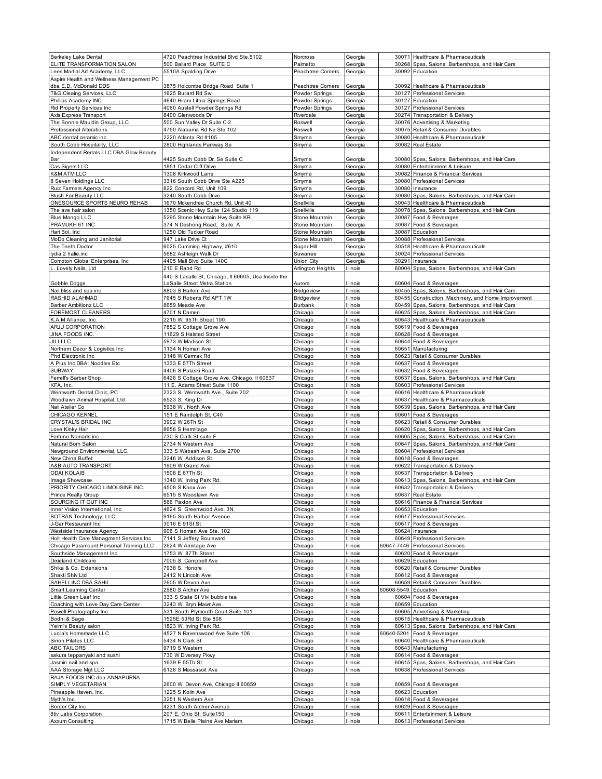| <b>Berkeley Lake Dental</b>               | 4720 Peachtree Industrial Blvd Ste.5102                     | Norcross           | Georgia              |                      | 30071 Healthcare & Pharmaceuticals                           |
|-------------------------------------------|-------------------------------------------------------------|--------------------|----------------------|----------------------|--------------------------------------------------------------|
| ELITE TRANSFORMATION SALON                | 500 Ballard Place SUITE C                                   | Palmetto           |                      |                      | 30268 Spas, Salons, Barbershops, and Hair Care               |
|                                           |                                                             |                    | Georgia              |                      |                                                              |
| Lees Martial Art Academy, LLC             | 5510A Spalding Drive                                        | Peachtree Corners  | Georgia              |                      | 30092 Education                                              |
| Aspire Health and Wellness Management PC  |                                                             |                    |                      |                      |                                                              |
| dba E.D. McDonald DDS                     | 3875 Holcombe Bridge Road Suite 1                           | Peachtree Corners  | Georgia              |                      | 30092 Healthcare & Pharmaceuticals                           |
| T&G Cleaing Services, LLC                 | 1625 Bullard Rd Sw                                          | Powder Springs     | Georgia              |                      | 30127 Professional Services                                  |
| Phillips Academy INC.                     | 4640 Hiram Lithia Springs Road                              | Powder Springs     | Georgia              |                      | 30127 Education                                              |
|                                           |                                                             |                    |                      |                      |                                                              |
| Rid Property Services Inc                 | 4060 Austell Powder Springs Rd                              | Powder Springs     | Georgia              |                      | 30127 Professional Services                                  |
| Axis Express Transport                    | 8400 Glenwoods Dr                                           | Riverdale          | Georgia              |                      | 30274 Transportation & Delivery                              |
| The Bonnie Mauldin Group, LLC             | 500 Sun Valley Dr Suite C-2                                 | Roswell            | Georgia              |                      | 30076 Advertising & Marketing                                |
| Professional Alterations                  | 4750 Alabama Rd Ne Ste 102                                  | Roswell            | Georgia              |                      | 30075 Retail & Consumer Durables                             |
| ABC dental ceramic inc                    | 2220 Atlanta Rd #105                                        | Smyma              | Georgia              |                      | 30080 Healthcare & Pharmaceuticals                           |
|                                           |                                                             |                    |                      |                      |                                                              |
| South Cobb Hospitality, LLC               | 2800 Highlands Parkway Se                                   | Smyma              | Georgia              |                      | 30082 Real Estate                                            |
| Independent Rerrals LLC DBA Glow Beauty   |                                                             |                    |                      |                      |                                                              |
| Bar                                       | 4425 South Cobb Dr. Se Suite C                              | Smyma              | Georgia              |                      | 30080 Spas, Salons, Barbershops, and Hair Care               |
| Cas Sigers LLC                            | 1851 Cedar Cliff Drive                                      | Smyma              | Georgia              |                      | 30080 Entertainment & Leisure                                |
| <b>K&amp;M ATM LLC</b>                    | 1308 Kirkwood Lane                                          | Smyma              | Georgia              |                      | 30082 Finance & Financial Services                           |
| 8 Seven Holdings LLC                      | 3316 South Cobb Drive Ste A225                              | Smyma              | Georgia              |                      | 30080 Professional Services                                  |
|                                           |                                                             |                    |                      |                      |                                                              |
| Ruiz Farmers Agency Inc                   | 822 Concord Rd, Unit 109                                    | Smyma              | Georgia              |                      | 30080 Insurance                                              |
| <b>Blush For Beauty LLC</b>               | 3240 South Cobb Drive                                       | Smyma              | Georgia              |                      | 30080 Spas, Salons, Barbershops, and Hair Care               |
| ONESOURCE SPORTS NEURO REHAB              | 1670 Mckendree Church Rd, Unit 40                           | Snellville         | Georgia              |                      | 30043 Healthcare & Pharmaceuticals                           |
| The ave hair salon                        | 1350 Scenic Hwy Suite 124 Studio 119                        | Snellville         | Georgia              |                      | 30078 Spas, Salons, Barbershops, and Hair Care               |
| <b>Blue Mango LLC</b>                     | 5295 Stone Mountain Hwy Suite KR                            | Stone Mountain     | Georgia              |                      | 30087 Food & Beverages                                       |
|                                           |                                                             |                    |                      |                      |                                                              |
| PRAMUKH 61 INC                            | 374 N Deshong Road, Suite A                                 | Stone Mountain     | Georgia              |                      | 30087 Food & Beverages                                       |
| Hari Bol, Inc.                            | 1250 Old Tucker Road                                        | Stone Mountain     | Georgia              |                      | 30087 Education                                              |
| MoDo Cleaning and Janitorial              | 947 Lake Drive Ct                                           | Stone Mountain     | Georgia              | 30088                | <b>Professional Services</b>                                 |
| The Teeth Doctor                          | 6025 Cumming Highway, #610                                  | Sugar Hill         | Georgia              |                      | 30518 Healthcare & Pharmaceuticals                           |
| lydia 2 halie.inc                         | 5682 Ashleigh Walk Dr                                       | Suwanee            | Georgia              |                      | 30024 Professional Services                                  |
|                                           |                                                             |                    |                      |                      |                                                              |
| Compton Global Enterprises, Inc.          | 4405 Mall Blvd Suite 140C                                   | Union City         | Georgia              |                      | 30291 Insurance                                              |
| L. Lovely Nails, Ltd                      | 210 E Rand Rd                                               | Arlington Heights  | Illinois             |                      | 60004 Spas, Salons, Barbershops, and Hair Care               |
|                                           | 440 S Lasalle St, Chicago, Il 60605, Usa Inside the         |                    |                      |                      |                                                              |
| Gobble Doggs                              | LaSalle Street Metra Station                                | Aurora             | Illinois             |                      | 60604 Food & Beverages                                       |
|                                           | 8803 S Harlem Ave                                           | Bridgeview         | Illinois             |                      |                                                              |
| Nail bliss and spa inc                    |                                                             |                    |                      |                      | 60455 Spas, Salons, Barbershops, and Hair Care               |
| RASHID ALAHMAD                            | 7645 S Roberts Rd APT 1W                                    | Bridgeview         | Illinois             |                      | 60455 Construction, Machinery, and Home Improvement          |
| <b>Barber Ambitionz LLC</b>               | 8659 Meade Ave                                              | Burbank            | Illinois             |                      | 60459 Spas, Salons, Barbershops, and Hair Care               |
| FOREMOST CLEANERS                         | 4701 N Damen                                                | Chicago            | Illinois             | 60625                | Spas, Salons, Barbershops, and Hair Care                     |
| K.A.M Alliance, Inc.                      | 2215 W. 95Th Street 100                                     | Chicago            | Illinois             |                      | 60643 Healthcare & Pharmaceuticals                           |
|                                           |                                                             | Chicago            | Illinois             |                      | 60619 Food & Beverages                                       |
| ARJU CORPORATION                          | 7852 S Cottage Grove Ave                                    |                    |                      |                      |                                                              |
| JINA FOODS INC.                           | 11629 S Halsted Street                                      | Chicago            | Illinois             |                      | 60628 Food & Beverages                                       |
| <b>JILI LLC</b>                           | 5973 W Madison St                                           | Chicago            | Illinois             |                      | 60644 Food & Beverages                                       |
| Northern Decor & Logistics Inc            | 1134 N Homan Ave                                            | Chicago            | Illinois             |                      | 60651 Manufacturing                                          |
| Phd Electronic Inc                        | 3148 W Cermak Rd                                            | Chicago            | Illinois             |                      | 60623 Retail & Consumer Durables                             |
|                                           |                                                             |                    |                      |                      |                                                              |
| A Plus Inc DBA: Noodles Etc               | 1333 E 57Th Street                                          | Chicago            | Illinois             | 60637                | Food & Beverages                                             |
| SUBWAY                                    | 4406 S Pulaski Road                                         | Chicago            | Illinois             |                      | 60632 Food & Beverages                                       |
| Ferrell's Barber Shop                     | 6426 S Cottage Grove Ave, Chicago, Il 60637                 | Chicago            | Illinois             | 60637                | Spas, Salons, Barbershops, and Hair Care                     |
| KFA, Inc.                                 | 11 E. Adams Street Suite 1100                               | Chicago            | Illinois             |                      | 60603 Professional Services                                  |
| Wentworth Dental Clinic, PC               | 2323 S. Wentworth Ave., Suite 202                           | Chicago            | Illinois             |                      | 60616 Healthcare & Pharmaceuticals                           |
|                                           |                                                             |                    |                      |                      |                                                              |
| Woodlawn Animal Hospital, Ltd.            | 6523 S. King Dr                                             | Chicago            | Illinois             |                      | 60637 Healthcare & Pharmaceuticals                           |
| Nail Atelier Co                           | 5938 W. North Ave                                           | Chicago            | Illinois             |                      | 60639 Spas, Salons, Barbershops, and Hair Care               |
| CHICAGO KERNEL                            | 151 E Randolph St, C40                                      | Chicago            | Illinois             |                      | 60601 Food & Beverages                                       |
| CRYSTAL'S BRIDAL INC                      | 3902 W 26Th St                                              | Chicago            | Illinois             |                      | 60623 Retail & Consumer Durables                             |
| Love Kinky Hair                           | 8656 S Hermitage                                            | Chicago            | Illinois             |                      | 60620 Spas, Salons, Barbershops, and Hair Care               |
| Fortune Nomads inc                        | 730 S Clark St suite F                                      | Chicago            | Illinois             | 60605                | Spas, Salons, Barbershops, and Hair Care                     |
|                                           |                                                             |                    | Illinois             |                      |                                                              |
| Natural Bom Salon                         | 2734 N Western Ave                                          | Chicago            |                      | 60647                | Spas, Salons, Barbershops, and Hair Care                     |
| Newground Environmental, LLC.             | 333 S Wabash Ave, Suite 2700                                | Chicago            | Illinois             |                      | 60604 Professional Services                                  |
| New China Buffet                          | 3246 W. Addison St.                                         | Chicago            | Illinois             |                      | 60618 Food & Beverages                                       |
| A&B AUTO TRANSPORT                        | 1909 W Grand Ave                                            | Chicago            | Illinois             | 60622                | Transportation & Delivery                                    |
| <b>ODAI KOLAIB</b>                        | 1508 E 67Th St                                              | Chicago            | Illinois             | 60637                | <b>Transportation &amp; Deliverv</b>                         |
| Image Showcase                            |                                                             |                    | Illinois             |                      |                                                              |
|                                           | 1340 W. Irving Park Rd.                                     | Chicago            |                      |                      | 60613 Spas, Salons, Barbershops, and Hair Care               |
| PRIORITY CHICAGO LIMOUSINE INC            | 4508 S Knox Ave                                             | Chicago            | Illinois             |                      | 60632 Transportation & Delivery                              |
| Prince Realty Group                       | 6515 S Woodlawn Ave                                         | Chicago            | <b>Illinois</b>      |                      | 60637 Real Estate                                            |
| SOURCING IT OUT INC                       | 566 Paxton Ave                                              | Chicago            | Illinois             |                      | 60616 Finance & Financial Services                           |
| Inner Vision International, Inc.          | 4624 S. Greenwood Ave. 3N                                   | Chicago            | Illinois             |                      | 60653 Education                                              |
| BOTRAN Technology, LLC                    | 9165 South Harbor Avenue                                    | Chicago            | Illinois             |                      | 60617 Professional Services                                  |
|                                           |                                                             |                    |                      |                      |                                                              |
| J-Gar Restaurant Inc                      | 3016 E 91St St                                              | Chicago            | Illinois             |                      | 60617 Food & Beverages                                       |
| Westside Insurance Agency                 | 906 S Homan Ave Ste. 102                                    | Chicago            | Illinois             |                      | 60624 Insurance                                              |
| Holt Health Care Managment Services Inc   | 7141 S Jeffery Boulevard                                    | Chicago            | Illinois             |                      | 60649 Professional Services                                  |
| Chicago Paramount Personal Training LLC   | 2624 W Armitage Ave                                         | Chicago            | Illinois             |                      | 60647-7446 Professional Services                             |
| Southside Management Inc.                 | 1753 W. 87Th Street                                         | Chicago            | Illinois             |                      | 60620 Food & Beverages                                       |
| Dixieland Childcare                       | 7005 S. Campbell Ave                                        | Chicago            | Illinois             |                      | 60629 Education                                              |
|                                           |                                                             |                    |                      |                      |                                                              |
| Shika & Co. Extensions                    | 7938 S. Honore                                              | Chicago            | Illinois             |                      | 60620 Retail & Consumer Durables                             |
| Shakti Shiv Ltd                           | 2412 N Lincoln Ave                                          | Chicago            | Illinois             |                      | 60612 Food & Beverages                                       |
| SAHELI INC DBA SAHIL                      | 2605 W Devon Ave                                            | Chicago            | Illinois             |                      | 60659 Retail & Consumer Durables                             |
| <b>Smart Learning Center</b>              | 2980 S Archer Ave                                           | Chicago            | Illinois             | 60608-5549 Education |                                                              |
| Little Green Leaf Inc                     | 333 S State St Vivi bubble tea                              |                    | Illinois             |                      | 60604 Food & Beverages                                       |
|                                           |                                                             | Chicago            |                      |                      |                                                              |
| Coaching with Love Day Care Center        | 3243 W. Bryn Mawr Ave.                                      | Chicago            | Illinois             |                      | 60659 Education                                              |
| Powell Photography Inc                    | 531 South Plymouth Court Suite 101                          | Chicago            | Illinois             |                      | 60605 Advertising & Marketing                                |
| Bodhi & Sage                              | 1525E 53Rd St Ste 808                                       | Chicago            | Illinois             |                      | 60615 Healthcare & Pharmaceuticals                           |
| Yeimi's Beauty salon                      | 1823 W. Irving Park Rd.                                     | Chicago            | Illinois             |                      | 60613 Spas, Salons, Barbershops, and Hair Care               |
| Lucila's Homemade LLC                     | 4527 N Ravenswood Ave Suite 106                             | Chicago            | <b>Illinois</b>      |                      | 60640-5201 Food & Beverages                                  |
|                                           |                                                             |                    |                      |                      |                                                              |
| Sirron Pilates LLC                        | 5434 N Clark St                                             | Chicago            | Illinois             |                      | 60640 Healthcare & Pharmaceuticals                           |
| <b>ABC TAILORS</b>                        | 9719 S Westem                                               | Chicago            | Illinois             |                      | 60643 Manufacturing                                          |
| sakura teppanyaki and sushi               | 730 W Diversey Pkwy                                         | Chicago            | Illinois             |                      | 60614 Food & Beverages                                       |
| Jasmin nail and spa                       | 1639 E 55Th St                                              | Chicago            | Illinois             |                      | 60615 Spas, Salons, Barbershops, and Hair Care               |
| AAA Storage Mgt LLC                       | 6128 S Massasoit Ave                                        | Chicago            | Illinois             |                      | 60638 Professional Services                                  |
|                                           |                                                             |                    |                      |                      |                                                              |
| RAJA FOODS INC dba ANNAPURNA              |                                                             |                    |                      |                      |                                                              |
| SIMPLY VEGETARIAN                         | 2600 W. Devon Ave, Chicago II 60659                         | Chicago            | Illinois             |                      | 60659 Food & Beverages                                       |
| Pineapple Haven, Inc.                     |                                                             |                    | Illinois             |                      | 60623 Education                                              |
|                                           | 1225 S Kolin Ave                                            | Chicago            |                      |                      |                                                              |
| Myth's Inc.                               | 3251 N Western Ave                                          | Chicago            | Illinois             |                      | 60618 Food & Beverages                                       |
|                                           |                                                             |                    |                      |                      |                                                              |
| Border City Inc                           | 4231 South Archer Avenue                                    | Chicago            | Illinois             |                      | 60629 Food & Beverages                                       |
| 8tiv Labs Corporation<br>Axxum Consulting | 207 E. Ohio St. Suite 150<br>1715 W Belle Plaine Ave Mariam | Chicago<br>Chicago | Illinois<br>Illinois |                      | 60611 Entertainment & Leisure<br>60613 Professional Services |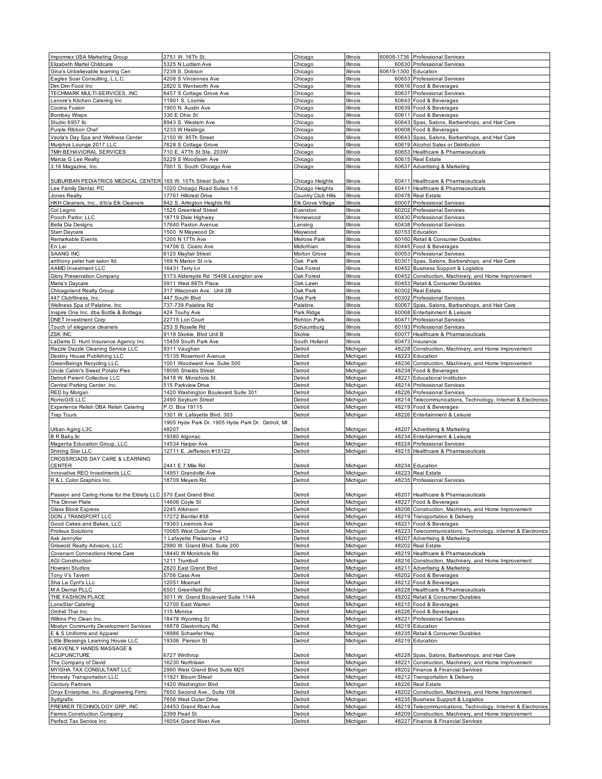| Impormex USA Marketing Group                                         | 2751 W. 16Th St.                                           | Chicago                    | Illinois             |                      | 60608-1736 Professional Services                                                          |
|----------------------------------------------------------------------|------------------------------------------------------------|----------------------------|----------------------|----------------------|-------------------------------------------------------------------------------------------|
| Elizabeth Martel Childcare                                           | 5325 N Ludlam Ave                                          | Chicago                    | Illinois             |                      | 60630 Professional Services                                                               |
| Gina's Unbelievable learning Cen                                     | 7239 S. Dobson                                             | Chicago                    | Illinois             | 60619-1300 Education |                                                                                           |
| Eagles Soar Consulting, L.L.C.                                       | 4208 S Vincennes Ave                                       | Chicago                    | Illinois             |                      | 60653 Professional Services                                                               |
| Dim Dim Food Inc                                                     | 2820 S Wentworth Ave                                       | Chicago                    | Illinois             |                      | 60616 Food & Beverages                                                                    |
| TECHMARK MULTI-SERVICES, INC                                         | 6457 S Cottage Grove Ave                                   | Chicago                    | Illinois             |                      | 60637 Professional Services                                                               |
| Lenore's Kitchen Catering Inc<br>Cocina Fusion                       | 11901 S. Loomis<br>1900 N. Austin Ave                      | Chicago<br>Chicago         | Illinois<br>Illinois |                      | 60643 Food & Beverages<br>60639 Food & Beverages                                          |
| <b>Bombay Wraps</b>                                                  | 330 E Ohio St                                              | Chicago                    | Illinois             |                      | 60611 Food & Beverages                                                                    |
| Studio 6957 llc                                                      | 8943 S. Western Ave                                        | Chicago                    | Illinois             | 60643                | Spas, Salons, Barbershops, and Hair Care                                                  |
| Purple Ribbon Chef                                                   | 1233 W Hastings                                            | Chicago                    | Illinois             |                      | 60608 Food & Beverages                                                                    |
| Veola's Day Spa and Wellness Center                                  | 2150 W. 95Th Street                                        | Chicago                    | Illinois             | 60643                | Spas, Salons, Barbershops, and Hair Care                                                  |
| Murphys Lounge 2017 LLC                                              | 7628 S Cottage Grove                                       | Chicago                    | Illinois             |                      | 60619 Alcohol Sales or Distribution                                                       |
| TMH BEHAVIORAL SERVICES                                              | 710 E. 47Th St Ste. 203W                                   | Chicago                    | Illinois             |                      | 60653 Healthcare & Pharmaceuticals                                                        |
| Marcia G Lee Realty                                                  | 5229 S Woodlawn Ave                                        | Chicago                    | Illinois             |                      | 60615 Real Estate                                                                         |
| 3:16 Magazine, Inc.                                                  | 7001 S. South Chicago Ave                                  | Chicago                    | Illinois             |                      | 60637 Advertising & Marketing                                                             |
| SUBURBAN PEDIATRICS MEDICAL CENTER 165 W. 10Th Street Suite 1        |                                                            | Chicago Heights            | Illinois             |                      | 60411 Healthcare & Pharmaceuticals                                                        |
| Lee Family Dental, PC                                                | 1020 Chicago Road Suites 1-5                               | Chicago Heights            | Illinois             |                      | 60411 Healthcare & Pharmaceuticals                                                        |
| Jones Realty                                                         | 17761 Hillcrest Drive                                      | Country Club Hills         | Illinois             |                      | 60478 Real Estate                                                                         |
| HKH Cleaners, Inc., d/b/a Elk Cleaners                               | 842 S. Arlington Heights Rd                                | Elk Grove Village          | Illinois             |                      | 60007 Professional Services                                                               |
| Col Legno                                                            | 1525 Greenleaf Street                                      | Evanston                   | Illinois             |                      | 60202 Professional Services                                                               |
| Pooch Parlor, LLC                                                    | 18719 Dixie Highway                                        | Homewood                   | Illinois             |                      | 60430 Professional Services                                                               |
| Bella Dia Designs                                                    | 17640 Paxton Avenue                                        | Lansing                    | Illinois             |                      | 60438 Professional Services                                                               |
| Starr Daycare                                                        | 1500 N Maywood Dr.                                         | Maywood                    | Illinois             |                      | 60153 Education                                                                           |
| Remarkable Events<br>En Lai                                          | 1200 N 17Th Ave<br>14706 S. Cicero Ave                     | Melrose Park<br>Midlothian | Illinois<br>Illinois |                      | 60160 Retail & Consumer Durables<br>60445 Food & Beverages                                |
| <b>SAANG INC</b>                                                     | 6125 Mayfair Street                                        | Morton Grove               | Illinois             |                      | 60053 Professional Services                                                               |
| anthony peter hair salon Itd                                         | 169 N Marion St n/a                                        | Oak Park                   | Illinois             |                      | 60301 Spas, Salons, Barbershops, and Hair Care                                            |
| <b>AAMD Investment LLC</b>                                           | 16431 Terry Ln                                             | Oak Forest                 | Illinois             |                      | 60452 Business Support & Logistics                                                        |
| Glory Preservation Company                                           | 5173 Aldersyde Rd !5406 Lexington ave                      | Oak Forest                 | Illinois             | 60452                | Construction, Machinery, and Home Improvement                                             |
| Maria's Daycare                                                      | 5911 West 88Th Place                                       | Oak Lawn                   | Illinois             |                      | 60453 Retail & Consumer Durables                                                          |
| Chicagoland Realty Group                                             | 317 Wisconsin Ave. Unit 2B                                 | Oak Park                   | Illinois             |                      | 60302 Real Estate                                                                         |
| 447 Clubfitness, Inc.                                                | 447 South Blvd                                             | Oak Park                   | Illinois             |                      | 60302 Professional Services                                                               |
| Wellness Spa of Palatine, Inc                                        | 737-739 Palatine Rd<br>424 Touhy Ave                       | Palatine                   | Illinois<br>Illinois | 60068                | 60067 Spas, Salons, Barbershops, and Hair Care                                            |
| Inspire One Inc. dba Bottle & Bottega<br><b>DNET Investment Corp</b> | 22715 Lori Court                                           | Park Ridge<br>Richton Park | Illinois             |                      | Entertainment & Leisure<br>60471 Professional Services                                    |
| Touch of elegance cleaners                                           | 253 S Roselle Rd                                           | Schaumburg                 | Illinois             |                      | 60193 Professional Services                                                               |
| ZSK INC                                                              | 9118 Skokie Blvd Unit B                                    | Skokie                     | Illinois             |                      | 60077 Healthcare & Pharmaceuticals                                                        |
| LaDarris D. Hunt Insurance Agency Inc                                | 15459 South Park Ave                                       | South Holland              | Illinois             |                      | 60473 Insurance                                                                           |
| Razzle Dazzle Cleaning Service LLC                                   | 9311 Vaughan                                               | Detroit                    | Michigan             |                      | 48228 Construction, Machinery, and Home Improvement                                       |
| Destiny House Publishing LLC                                         | 15135 Rosemont Avenue                                      | Detroit                    | Michigan             |                      | 48223 Education                                                                           |
| GreenBeings Recycling LLC.                                           | 1001 Woodward Ave. Suite 500                               | Detroit                    | Michigan             |                      | 48236 Construction, Machinery, and Home Improvement                                       |
| Uncle Calvin's Sweet Potato Pies                                     | 18095 Shields Street                                       | Detroit                    | Michigan             |                      | 48234 Food & Beverages                                                                    |
| Detroit Parent Collective LLC<br>Central Parking Center, Inc.        | 8418 W. Mcnichols St.<br>515 Parkview Drive                | Detroit<br>Detroit         | Michigan<br>Michigan |                      | 48221 Educational Institution<br>48214 Professional Services                              |
|                                                                      |                                                            |                            |                      |                      |                                                                                           |
|                                                                      |                                                            |                            |                      |                      |                                                                                           |
| RED by Morgan                                                        | 1420 Washington Boulevard Suite 301                        | Detroit                    | Michigan             |                      | 48226 Professional Services                                                               |
| RomoGIS LLC<br>Experience Relish DBA Relish Catering                 | 2490 Seybum Street<br>P.O. Box 19115                       | Detroit<br>Detroit         | Michigan<br>Michigan |                      | 48214 Telecommunications, Technology, Internet & Electronics<br>48219 Food & Beverages    |
| <b>Trap Tours</b>                                                    | 1301 W. Lafayette Blvd. 303                                | Detroit                    | Michigan             |                      | 48226 Entertainment & Leisure                                                             |
|                                                                      | 1905 Hyde Park Dr. 1905 Hyde Park Dr. Detroit, MI          |                            |                      |                      |                                                                                           |
| Urban Aging L3C                                                      | 48207                                                      | Detroit                    | Michigan             |                      | 48207 Advertising & Marketing                                                             |
| <b>B</b> R Baby, IIc                                                 | 19380 Algonac                                              | Detroit                    | Michigan             |                      | 48234 Entertainment & Leisure                                                             |
| Magenta Education Group, LLC                                         | 14534 Harper Ave                                           | Detroit                    | Michigan             |                      | 48224 Professional Services                                                               |
| Shining Star LLC                                                     | 12711 E. Jefferson #15122                                  | Detroit                    | Michigan             |                      | 48215 Healthcare & Pharmaceuticals                                                        |
| CROSSROADS DAY CARE & LEARNING                                       |                                                            |                            |                      |                      |                                                                                           |
| <b>CENTER</b><br>Innovative REO Investments LLC                      | 2441 E 7 Mile Rd                                           | Detroit<br>Detroit         | Michigan             |                      | 48234 Education<br>48223 Real Estate                                                      |
| R & L Color Graphics Inc.                                            | 14951 Grandville Ave<br>18709 Meyers Rd.                   | Detroit                    | Michigan<br>Michigan |                      | 48235 Professional Services                                                               |
|                                                                      |                                                            |                            |                      |                      |                                                                                           |
| Passion and Caring Home for the Elderly LLC 570 East Grand Blvd.     |                                                            | Detroit                    | Michigan             |                      | 48207 Healthcare & Pharmaceuticals                                                        |
| The Dinner Plate                                                     | 14606 Coyle St                                             | Detroit                    | Michigan             |                      | 48227 Food & Beverages                                                                    |
| <b>Glass Block Express</b>                                           | 2245 Atkinson                                              | Detroit                    | Michigan             |                      | 48206 Construction, Machinery, and Home Improvement                                       |
| DON J TRANSPORT LLC                                                  | 17272 Bentler #38                                          | Detroit                    | Michigan             |                      | 48219 Transportation & Delivery                                                           |
| Good Cakes and Bakes, LLC                                            | 19363 Livernois Ave                                        | Detroit                    | Michigan             |                      | 48221 Food & Beverages                                                                    |
| Prolixus Solutions                                                   | 10065 West Outer Drive                                     | Detroit                    | Michigan             | 48223                | Telecommunications, Technology, Internet & Electronics                                    |
| Ask Jennyfer<br>Griswold Realty Advisors, LLC                        | 1 Lafayette Plaisance 412<br>2990 W. Grand Blvd. Suite 200 | Detroit<br>Detroit         | Michigan<br>Michigan |                      | 48207 Advertising & Marketing<br>48202 Real Estate                                        |
| Covenant Connections Home Care                                       | 18440 W Mcnichols Rd                                       | Detroit                    | Michigan             |                      | 48219 Healthcare & Pharmaceuticals                                                        |
| <b>AGI Construction</b>                                              | 1211 Trumbull                                              | Detroit                    | Michigan             |                      | 48216 Construction, Machinery, and Home Improvement                                       |
| Howrani Studios                                                      | 2820 East Grand Blvd                                       | Detroit                    | Michigan             |                      | 48211 Advertising & Marketing                                                             |
| Tony V's Tavem                                                       | 5756 Cass Ave                                              | Detroit                    | Michigan             |                      | 48202 Food & Beverages                                                                    |
| Sha La Cynt's LLc                                                    | 12051 Moenart                                              | Detroit                    | Michigan             |                      | 48212 Food & Beverages                                                                    |
| M A Dental PLLC                                                      | 6501 Greenfield Rd                                         | Detroit                    | Michigan             |                      | 48228 Healthcare & Pharmaceuticals                                                        |
| THE FASHION PLACE                                                    | 3011 W. Grand Boulevard Suite 114A                         | Detroit                    | Michigan             |                      | 48202 Retail & Consumer Durables                                                          |
| LoneStar Catering<br>Orchid Thai Inc.                                | 12700 East Warren<br>115 Monroe                            | Detroit<br>Detroit         | Michigan<br>Michigan |                      | 48215 Food & Beverages<br>48226 Food & Beverages                                          |
| Wilkins Pro Clean Inc.                                               | 18478 Wyoming St                                           | Detroit                    | Michigan             |                      | 48221 Professional Services                                                               |
| Mostyn Community Development Services                                | 16878 Glastonbury Rd.                                      | Detroit                    | Michigan             |                      | 48219 Education                                                                           |
| E & S Uniforms and Apparel                                           | 18986 Schaefer Hwy                                         | Detroit                    | Michigan             |                      | 48235 Retail & Consumer Durables                                                          |
| Little Blessings Learning House LLC                                  | 19306 Pierson St                                           | Detroit                    | Michigan             |                      | 48219 Education                                                                           |
| HEAVENLY HANDS MASSAGE &                                             |                                                            |                            |                      |                      |                                                                                           |
| <b>ACUPUNCTURE</b>                                                   | 6727 Winthrop                                              | Detroit                    | Michigan             |                      | 48228 Spas, Salons, Barbershops, and Hair Care                                            |
| The Company of David                                                 | 16230 Northlawn                                            | Detroit                    | Michigan             |                      | 48221 Construction, Machinery, and Home Improvement                                       |
| MYISHA TAX CONSULTANT LLC                                            | 2990 West Grand Blvd Suite M25<br>11921 Bloom Street       | Detroit<br>Detroit         | Michigan             |                      | 48202 Finance & Financial Services                                                        |
| Honesty Transportation LLC<br>Century Partners                       | 1420 Washington Blvd                                       | Detroit                    | Michigan<br>Michigan |                      | 48212 Transportation & Delivery<br>48226 Real Estate                                      |
| Onyx Enterprise, Inc. (Engineering Firm)                             | 7650 Second Ave., Suite 106                                | Detroit                    | Michigan             | 48202                | Construction, Machinery, and Home Improvement                                             |
| Sydgrafix                                                            | 7656 West Outer Drive                                      | Detroit                    | Michigan             |                      | 48235 Business Support & Logistics                                                        |
| PREMIER TECHNOLOGY GRP, INC                                          | 24453 Grand River Ave                                      | Detroit                    | Michigan             |                      | 48219 Telecommunications, Technology, Internet & Electronics                              |
| Fierros Construction Company<br>Perfect Tax Service Inc              | 2399 Pearl St<br>16054 Grand River Ave                     | Detroit<br>Detroit         | Michigan<br>Michigan |                      | 48209 Construction, Machinery, and Home Improvement<br>48227 Finance & Financial Services |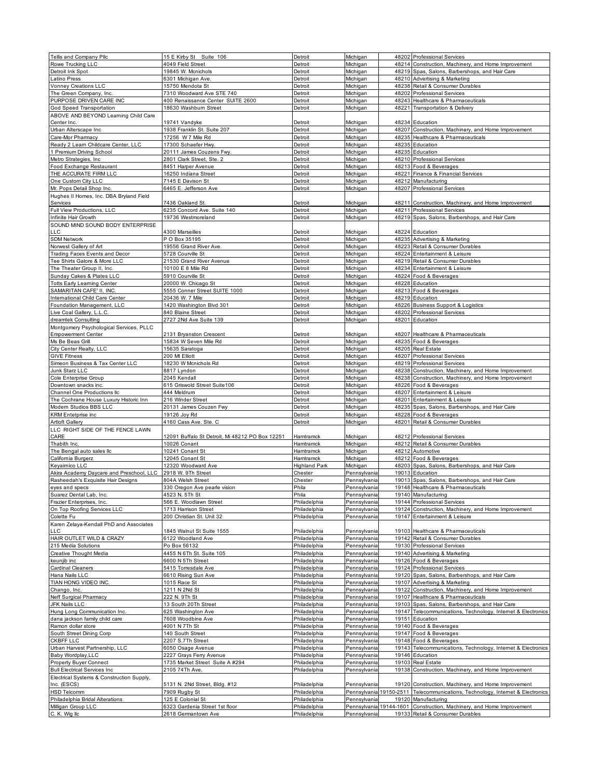| Tellis and Company Pllc                   | 15 E Kirby St Suite 106                               | Detroit                      | Michigan                     |       | 48202 Professional Services                                                                  |
|-------------------------------------------|-------------------------------------------------------|------------------------------|------------------------------|-------|----------------------------------------------------------------------------------------------|
| Rowe Trucking LLC                         | 4049 Field Street                                     | Detroit                      | Michigan                     | 48214 | Construction, Machinery, and Home Improvement                                                |
| Detroit Ink Spot                          | 19845 W. Mcnichols                                    | Detroit                      | Michigan                     |       | 48219 Spas, Salons, Barbershops, and Hair Care                                               |
| Latino Press                              | 6301 Michigan Ave.                                    | Detroit                      | Michigan                     |       | 48210 Advertising & Marketing                                                                |
| Vonney Creations LLC                      | 15750 Mendota St                                      | Detroit                      | Michigan                     |       | 48238 Retail & Consumer Durables                                                             |
| The Green Company, Inc.                   | 7310 Woodward Ave STE 740                             | Detroit                      | Michigan                     |       | 48202 Professional Services                                                                  |
| PURPOSE DRIVEN CARE INC                   | 400 Renaissance Center SUITE 2600                     | Detroit                      | Michigan                     |       | 48243 Healthcare & Pharmaceuticals                                                           |
| God Speed Transportation                  | 18630 Washburn Street                                 | Detroit                      | Michigan                     |       | 48221 Transportation & Delivery                                                              |
|                                           |                                                       |                              |                              |       |                                                                                              |
| ABOVE AND BEYOND Learning Child Care      |                                                       |                              |                              |       |                                                                                              |
| Center Inc.                               | 19741 Vandyke                                         | Detroit                      | Michigan                     |       | 48234 Education                                                                              |
| Urban Alterscape Inc                      | 1938 Franklin St. Suite 207                           | Detroit                      | Michigan                     |       | 48207 Construction, Machinery, and Home Improvement                                          |
| Care-Mor Pharmacy                         | 17256 W 7 Mile Rd                                     | Detroit                      | Michigan                     |       | 48235 Healthcare & Pharmaceuticals                                                           |
| Ready 2 Learn Childcare Center, LLC       | 17300 Schaefer Hwy.                                   | Detroit                      | Michigan                     |       | 48235 Education                                                                              |
| 1 Premium Driving School                  | 20111 James Couzens Fwy.                              | Detroit                      | Michigan                     |       | 48235 Education                                                                              |
| Metro Strategies, Inc.                    | 2801 Clark Street, Ste. 2                             | Detroit                      | Michigan                     |       | 48210 Professional Services                                                                  |
| Food Exchange Restaurant                  | 8451 Harper Avenue                                    | Detroit                      | Michigan                     |       | 48213 Food & Beverages                                                                       |
| THE ACCURATE FIRM LLC                     | 16250 Indiana Street                                  | Detroit                      | Michigan                     |       | 48221 Finance & Financial Services                                                           |
|                                           | 7145 E Davison St                                     |                              |                              |       | 48212 Manufacturing                                                                          |
| One Custom City LLC                       |                                                       | Detroit                      | Michigan                     |       |                                                                                              |
| Mr. Pops Detail Shop Inc.                 | 6465 E. Jefferson Ave                                 | Detroit                      | Michigan                     |       | 48207 Professional Services                                                                  |
| Hughes II Homes, Inc. DBA Bryland Field   |                                                       |                              |                              |       |                                                                                              |
| Services                                  | 7436 Oakland St.                                      | Detroit                      | Michigan                     |       | 48211 Construction, Machinery, and Home Improvement                                          |
| Full View Productions, LLC                | 6235 Concord Ave. Suite 140                           | Detroit                      | Michigan                     |       | 48211 Professional Services                                                                  |
| Infinite Hair Growth                      | 19736 Westmoreland                                    | Detroit                      | Michigan                     | 48219 | Spas, Salons, Barbershops, and Hair Care                                                     |
| SOUND MIND SOUND BODY ENTERPRISE          |                                                       |                              |                              |       |                                                                                              |
| LLC                                       | 4300 Marseilles                                       | Detroit                      | Michigan                     |       | 48224 Education                                                                              |
| <b>SDM Network</b>                        | P O Box 35195                                         | Detroit                      | Michigan                     |       | 48235 Advertising & Marketing                                                                |
|                                           | 19556 Grand River Ave.                                | Detroit                      |                              |       | 48223 Retail & Consumer Durables                                                             |
| Norwest Gallery of Art                    |                                                       |                              | Michigan                     |       |                                                                                              |
| Trading Faces Events and Decor            | 5728 Courville St                                     | Detroit                      | Michigan                     |       | 48224 Entertainment & Leisure                                                                |
| Tee Shirts Galore & More LLC              | 21530 Grand River Avenue                              | Detroit                      | Michigan                     |       | 48219 Retail & Consumer Durables                                                             |
| The Theater Group II, Inc.                | 10100 E 8 Mile Rd                                     | Detroit                      | Michigan                     |       | 48234 Entertainment & Leisure                                                                |
| Sunday Cakes & Plates LLC                 | 5910 Courville St                                     | Detroit                      | Michigan                     |       | 48224 Food & Beverages                                                                       |
| <b>Totts Early Learning Center</b>        | 20000 W. Chicago St                                   | Detroit                      | Michigan                     |       | 48228 Education                                                                              |
| SAMARITAN CAFE' II. INC.                  | 5555 Conner Street SUITE 1000                         | Detroit                      | Michigan                     |       | 48213 Food & Beverages                                                                       |
| International Child Care Center           | 20436 W. 7 Mile                                       | Detroit                      | Michigan                     |       | 48219 Education                                                                              |
|                                           | 1420 Washington Blvd 301                              |                              |                              |       |                                                                                              |
| Foundation Management, LLC                |                                                       | Detroit                      | Michigan                     |       | 48226 Business Support & Logistics                                                           |
| Live Coal Gallery, L.L.C.                 | 840 Blaine Street                                     | Detroit                      | Michigan                     | 48202 | Professional Services                                                                        |
| dreamtek Consulting                       | 2727 2Nd Ave Suite 139                                | Detroit                      | Michigan                     |       | 48201 Education                                                                              |
| Montgomery Psychological Services, PLLC   |                                                       |                              |                              |       |                                                                                              |
| <b>Empowerment Center</b>                 | 2131 Bryanston Crescent                               | Detroit                      | Michigan                     |       | 48207 Healthcare & Pharmaceuticals                                                           |
| Ms Be Beas Grill                          | 15834 W Seven Mile Rd                                 | Detroit                      | Michigan                     |       | 48235 Food & Beverages                                                                       |
| City Center Realty, LLC                   | 15635 Saratoga                                        | Detroit                      | Michigan                     |       | 48205 Real Estate                                                                            |
| <b>GIVE Fitness</b>                       | 200 Mt Elliott                                        | Detroit                      | Michigan                     |       | 48207 Professional Services                                                                  |
| Simeon Business & Tax Center LLC          | 18230 W Mcnichols Rd                                  | Detroit                      | Michigan                     |       | 48219 Professional Services                                                                  |
|                                           |                                                       |                              |                              |       |                                                                                              |
| Junk Starz LLC                            | 8817 Lyndon                                           | Detroit                      | Michigan                     |       | 48238 Construction, Machinery, and Home Improvement                                          |
| Cole Enterprise Group                     | 2045 Kendall                                          | Detroit                      | Michigan                     |       | 48238 Construction, Machinery, and Home Improvement                                          |
| Downtown snacks inc.                      | 615 Griswold Street Suite106                          | Detroit                      | Michigan                     |       | 48226 Food & Beverages                                                                       |
| Channel One Productions llc               | 444 Meldrum                                           | Detroit                      | Michigan                     | 48207 | Entertainment & Leisure                                                                      |
| The Cochrane House Luxury Historic Inn    | 216 Winder Street                                     | Detroit                      | Michigan                     |       | 48201 Entertainment & Leisure                                                                |
| Modern Studios BBS LLC                    | 20131 James Couzen Fwy                                | Detroit                      | Michigan                     | 48235 | Spas, Salons, Barbershops, and Hair Care                                                     |
| <b>KRM</b> Entetprise inc                 | 19126 Joy Rd                                          | Detroit                      | Michigan                     | 48228 | Food & Beverages                                                                             |
| <b>Artloft Gallery</b>                    | 4160 Cass Ave. Ste. C                                 | Detroit                      | Michigan                     | 48201 | Retail & Consumer Durables                                                                   |
| LLC RIGHT SIDE OF THE FENCE LAWN          |                                                       |                              |                              |       |                                                                                              |
|                                           |                                                       |                              |                              |       |                                                                                              |
| CARE                                      | 12091 Buffalo St Detroit, Mi 48212 PO Box 12251       | Hamtramck                    | Michigan                     |       | 48212 Professional Services                                                                  |
| Thabith Inc.                              | 10026 Conant                                          | Hamtramck                    | Michigan                     |       | 48212 Retail & Consumer Durables                                                             |
| The Bengal auto sales lic                 | 10241 Conant St                                       | Hamtramck                    | Michigan                     |       | 48212 Automotive                                                                             |
| California Burgerz                        | 12045 Conant St                                       | Hamtramck                    | Michigan                     | 48212 | Food & Beverages                                                                             |
| Keyaimico LLC                             | 12320 Woodward Ave                                    | <b>Highland Park</b>         | Michigan                     | 48203 | Spas, Salons, Barbershops, and Hair Care                                                     |
| Akira Academy Daycare and Preschool, LLC  | 2918 W. 9Th Street                                    | Chester                      | Pennsylvania                 | 19013 | Education                                                                                    |
| Rasheedah's Exquisite Hair Designs        | 804A Welsh Street                                     | Chester                      | Pennsylvania                 |       | 19013 Spas, Salons, Barbershops, and Hair Care                                               |
| eyes and specs                            | 330 Oregon Ave pearle vision                          | Phila                        | Pennsylvania                 |       | 19148 Healthcare & Pharmaceuticals                                                           |
|                                           |                                                       |                              |                              |       |                                                                                              |
| Suarez Dental Lab, Inc.                   | 4523 N. 5Th St                                        | Phila                        | Pennsylvania                 |       | 19140 Manufacturing                                                                          |
| Frazier Enterprises, Inc.                 | 566 E. Woodlawn Street                                | Philadelphia                 | Pennsylvania                 | 19144 | Professional Services                                                                        |
| On Top Roofing Services LLC               | 1713 Harrison Street                                  | Philadelphia                 | Pennsylvania                 | 19124 | Construction, Machinery, and Home Improvement                                                |
| Colette Fu                                | 200 Christian St. Unit 32                             | Philadelphia                 | Pennsylvania                 | 19147 | Entertainment & Leisure                                                                      |
| Karen Zelaya-Kendall PhD and Associates   |                                                       |                              |                              |       |                                                                                              |
| LLC                                       | 1845 Walnut St Suite 1555                             | Philadelphia                 | Pennsylvania                 |       | 19103 Healthcare & Pharmaceuticals                                                           |
| HAIR OUTLET WILD & CRAZY                  | 6122 Woodland Ave                                     | Philadelphia                 | Pennsylvania                 |       | 19142 Retail & Consumer Durables                                                             |
| 215 Media Solutions                       | Po Box 56132                                          | Philadelphia                 | Pennsylvania                 |       | 19130 Professional Services                                                                  |
| Creative Thought Media                    | 4455 N 6Th St. Suite 105                              | Philadelphia                 | Pennsylvania                 |       | 19140 Advertising & Marketing                                                                |
|                                           |                                                       | Philadelphia                 | Pennsylvania                 |       | 19126 Food & Beverages                                                                       |
| keunjib inc                               | 6600 N 5Th Street                                     |                              |                              |       |                                                                                              |
| <b>Cardinal Cleaners</b>                  | 5415 Torresdale Ave                                   | Philadelphia                 | Pennsylvania                 |       | 19124 Professional Services                                                                  |
| Hana Nails LLC                            | 6610 Rising Sun Ave                                   | Philadelphia                 | Pennsylvania                 |       | 19120 Spas, Salons, Barbershops, and Hair Care                                               |
| TIAN HONG VIDEO INC.                      | 1015 Race St                                          | Philadelphia                 | Pennsylvania                 |       | 19107 Advertising & Marketing                                                                |
| Chango, Inc.                              | 1211 N 2Nd St                                         | Philadelphia                 | Pennsylvania                 | 19122 | Construction, Machinery, and Home Improvement                                                |
| Neff Surgical Pharmacy                    | 222 N. 9Th St                                         | Philadelphia                 | Pennsylvania                 |       | 19107 Healthcare & Pharmaceuticals                                                           |
| JFK Nails LLC                             | 13 South 20Th Street                                  | Philadelphia                 | Pennsylvania                 | 19103 | Spas, Salons, Barbershops, and Hair Care                                                     |
| Hung Long Communication Inc.              | 625 Washington Ave                                    | Philadelphia                 | Pennsylvania                 |       | 19147 Telecommunications, Technology, Internet & Electronics                                 |
| dana jackson family child care            | 7608 Woodbine Ave                                     | Philadelphia                 | Pennsylvania                 |       | 19151 Education                                                                              |
|                                           |                                                       |                              |                              |       |                                                                                              |
| Ramon dollar store                        | 4001 N 7Th St                                         | Philadelphia                 | Pennsylvania                 |       | 19140 Food & Beverages                                                                       |
| South Street Dining Corp                  | 140 South Street                                      | Philadelphia                 | Pennsylvania                 |       | 19147 Food & Beverages                                                                       |
| CKBFF LLC                                 | 2207 S.7Th Street                                     | Philadelphia                 | Pennsylvania                 |       | 19148 Food & Beverages                                                                       |
| Urban Harvest Partnership, LLC            | 6050 Osage Avenue                                     | Philadelphia                 | Pennsylvania                 | 19143 | Telecommunications, Technology, Internet & Electronics                                       |
| Baby Wordplay, LLC                        | 2227 Grays Ferry Avenue                               | Philadelphia                 | Pennsylvania                 |       | 19146 Education                                                                              |
| Property Buyer Connect                    | 1735 Market Street Suite A #294                       | Philadelphia                 | Pennsylvania                 |       | 19103 Real Estate                                                                            |
| <b>Bull Electrical Services Inc</b>       | 2105 74Th Ave.                                        | Philadelphia                 | Pennsylvania                 | 19138 | Construction, Machinery, and Home Improvement                                                |
| Electrical Systems & Construction Supply, |                                                       |                              |                              |       |                                                                                              |
| Inc. (ESCS)                               | 5131 N. 2Nd Street, Bldg. #12                         | Philadelphia                 | Pennsylvania                 |       | 19120 Construction, Machinery, and Home Improvement                                          |
|                                           |                                                       | Philadelphia                 |                              |       | Pennsylvania 19150-2511 Telecommunications, Technology, Internet & Electronics               |
| HSD Telcomm                               |                                                       |                              |                              |       |                                                                                              |
|                                           | 7909 Rugby St                                         |                              |                              |       |                                                                                              |
| Philadelphia Bridal Alterations           | 125 E Colonial St                                     | Philadelphia                 | Pennsylvania                 |       | 19120 Manufacturing                                                                          |
| Milligan Group LLC<br>C. K. Wig Ilc       | 6323 Gardenia Street 1st floor<br>2618 Germantown Ave | Philadelphia<br>Philadelphia | Pennsylvania<br>Pennsylvania |       | 19144-1601 Construction, Machinery, and Home Improvement<br>19133 Retail & Consumer Durables |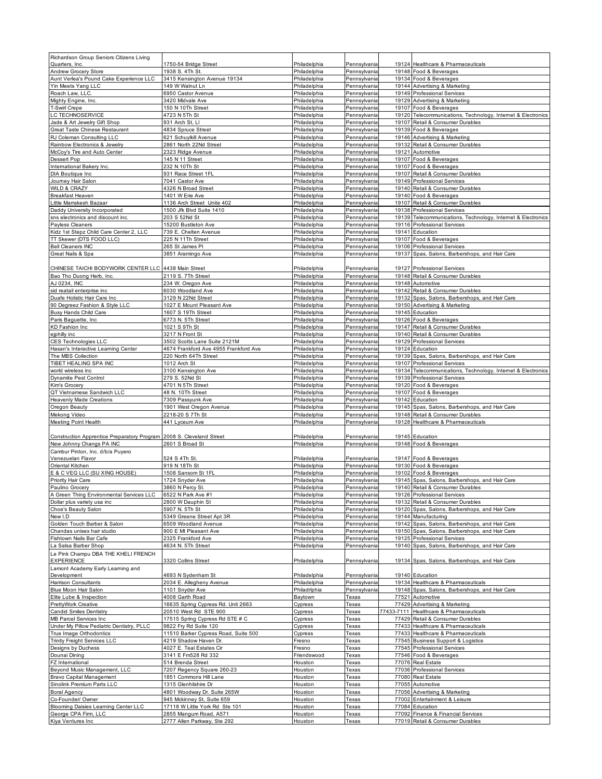| Richardson Group Seniors Citizens Living<br>Quarters, Inc.                      | 1750-54 Bridge Street                                 | Philadelphia                 | Pennsylvania                 |       | 19124 Healthcare & Pharmaceuticals                                                          |
|---------------------------------------------------------------------------------|-------------------------------------------------------|------------------------------|------------------------------|-------|---------------------------------------------------------------------------------------------|
| Andrew Grocery Store                                                            | 1938 S. 4Th St.                                       | Philadelphia                 | Pennsylvania                 |       | 19148 Food & Beverages                                                                      |
| Aunt Verlea's Pound Cake Experience LLC                                         | 3415 Kensington Avenue 19134                          | Philadelphia                 | Pennsylvania                 |       | 19134 Food & Beverages                                                                      |
| Yin Meets Yang LLC                                                              | 149 W Walnut Ln                                       | Philadelphia                 | Pennsylvania                 |       | 19144 Advertising & Marketing                                                               |
| Roach Law, LLC                                                                  | 6950 Castor Avenue                                    | Philadelphia                 | Pennsylvania                 |       | 19149 Professional Services                                                                 |
| Mighty Engine, Inc.                                                             | 3420 Midvale Ave                                      | Philadelphia                 | Pennsylvania                 |       | 19129 Advertising & Marketing                                                               |
| <b>T-Swirl Crepe</b>                                                            | 150 N 10Th Street                                     | Philadelphia                 | Pennsylvania                 |       | 19107 Food & Beverages                                                                      |
| LC TECHNOSERVICE                                                                | 4723 N 5Th St                                         | Philadelphia                 | Pennsylvania                 |       | 19120 Telecommunications, Technology, Internet & Electronics                                |
| Jade & Art Jewelry Gift Shop                                                    | 931 Arch St, LI                                       | Philadelphia                 | Pennsylvania                 | 19107 | Retail & Consumer Durables                                                                  |
| Great Taste Chinese Restaurant                                                  | 4834 Spruce Street                                    | Philadelphia                 | Pennsylvania                 |       | 19139 Food & Beverages                                                                      |
| RJ Coleman Consulting LLC                                                       | 621 Schuylkill Avenue                                 | Philadelphia                 | Pennsylvania                 |       | 19146 Advertising & Marketing                                                               |
| Rainbow Electronics & Jewelry                                                   | 2861 North 22Nd Street                                | Philadelphia                 | Pennsylvania                 |       | 19132 Retail & Consumer Durables                                                            |
| McCoy's Tire and Auto Center                                                    | 2323 Ridge Avenue                                     | Philadelphia                 | Pennsylvania                 |       | 19121 Automotive                                                                            |
| Dessert Pop                                                                     | 145 N 11 Street                                       | Philadelphia                 | Pennsylvania                 |       | 19107 Food & Beverages                                                                      |
| International Bakery Inc.<br>DIA Boutique Inc                                   | 232 N 10Th St<br>931 Race Street 1FL                  | Philadelphia<br>Philadelphia | Pennsylvania<br>Pennsylvania | 19107 | 19107 Food & Beverages<br>Retail & Consumer Durables                                        |
| Journey Hair Salon                                                              | 7041 Castor Ave                                       | Philadelphia                 | Pennsylvania                 |       | 19149 Professional Services                                                                 |
| <b>WILD &amp; CRAZY</b>                                                         | 4326 N Broad Street                                   | Philadelphia                 | Pennsylvania                 |       | 19140 Retail & Consumer Durables                                                            |
| <b>Breakfast Heaven</b>                                                         | 1401 W Erie Ave                                       | Philadelphia                 | Pennsylvania                 |       | 19140 Food & Beverages                                                                      |
| Little Marrakesh Bazaar                                                         | 1136 Arch Street Unite 402                            | Philadelphia                 | Pennsylvania                 |       | 19107 Retail & Consumer Durables                                                            |
| Daddy University Incorporated                                                   | 1500 Jfk Blvd Suite 1410                              | Philadelphia                 | Pennsylvania                 |       | 19138 Professional Services                                                                 |
| sns electronics and discount inc.                                               | 203 S 52Nd St                                         | Philadelphia                 | Pennsylvania                 |       | 19139 Telecommunications, Technology, Internet & Electronics                                |
| Payless Cleaners                                                                | 15200 Bustleton Ave                                   | Philadelphia                 | Pennsylvania                 |       | 19116 Professional Services                                                                 |
| Kidz 1st Stepz Child Care Center 2, LLC                                         | 739 E. Chelten Avenue                                 | Philadelphia                 | Pennsylvania                 |       | 19141 Education                                                                             |
| TT Skewer (DTS FOOD LLC)                                                        | 225 N 11Th Street                                     | Philadelphia                 | Pennsylvania                 |       | 19107 Food & Beverages                                                                      |
| <b>Bell Cleaners INC</b>                                                        | 265 St James PI                                       | Philadelphia                 | Pennsylvania                 | 19106 | <b>Professional Services</b>                                                                |
| Great Nails & Spa                                                               | 3851 Aramingo Ave                                     | Philadelphia                 | Pennsylvania                 | 19137 | Spas, Salons, Barbershops, and Hair Care                                                    |
|                                                                                 |                                                       | Philadelphia                 |                              |       |                                                                                             |
| CHINESE TAICHI BODYWORK CENTER LLC 4438 Main Street<br>Bao Tho Duong Herb, Inc. | 2119 S. 7Th Street                                    | Philadelphia                 | Pennsylvania<br>Pennsylvania |       | 19127 Professional Services<br>19148 Retail & Consumer Durables                             |
| AJ 0234, INC                                                                    | 234 W. Oregon Ave                                     | Philadelphia                 | Pennsylvania                 |       | 19148 Automotive                                                                            |
| sid reatail enterprise inc                                                      | 6030 Woodland Ave                                     | Philadelphia                 | Pennsylvania                 |       | 19142 Retail & Consumer Durables                                                            |
| Duafe Holistic Hair Care Inc                                                    | 3129 N 22Nd Street                                    | Philadelphia                 | Pennsylvania                 | 19132 | Spas, Salons, Barbershops, and Hair Care                                                    |
| 90 Degreez Fashion & Style LLC                                                  | 1027 E Mount Pleasant Ave                             | Philadelphia                 | Pennsylvania                 |       | 19150 Advertising & Marketing                                                               |
| <b>Busy Hands Child Care</b>                                                    | 1607 S 19Th Street                                    | Philadelphia                 | Pennsylvania                 |       | 19145 Education                                                                             |
| Paris Baguette, Inc                                                             | 6773 N. 5Th Street                                    | Philadelphia                 | Pennsylvania                 |       | 19126 Food & Beverages                                                                      |
| <b>KD Fashion Inc</b>                                                           | 1021 S 9Th St                                         | Philadelphia                 | Pennsylvania                 |       | 19147 Retail & Consumer Durables                                                            |
| ejphilly inc                                                                    | 3217 N Front St                                       | Philadelphia                 | Pennsylvania                 |       | 19140 Retail & Consumer Durables                                                            |
| CES Technologies LLC                                                            | 3502 Scotts Lane Suite 2121M                          | Philadelphia                 | Pennsylvania                 |       | 19129 Professional Services                                                                 |
| Hasan's Interactive Learning Center                                             | 4674 Frankford Ave 4955 Frankford Ave                 | Philadelphia                 | Pennsylvania                 |       | 19124 Education                                                                             |
| The MBS Collection                                                              | 220 North 64Th Street                                 | Philadelphia                 | Pennsylvania                 |       | 19139 Spas, Salons, Barbershops, and Hair Care                                              |
| TIBET HEALING SPA INC                                                           | 1012 Arch St                                          | Philadelphia                 | Pennsylvania                 |       | 19107 Professional Services                                                                 |
| world wireless inc<br>Dynamite Pest Control                                     | 3100 Kensington Ave<br>279 S. 52Nd St                 | Philadelphia<br>Philadelphia | Pennsylvania<br>Pennsylvania |       | 19134 Telecommunications, Technology, Internet & Electronics<br>19139 Professional Services |
| Kim's Grocery                                                                   | 4701 N 5Th Street                                     | Philadelphia                 | Pennsylvania                 |       | 19120 Food & Beverages                                                                      |
|                                                                                 |                                                       |                              |                              |       |                                                                                             |
| QT Vietnamese Sandwich LLC                                                      | 48 N. 10Th Street                                     | Philadelphia                 |                              |       | 19107 Food & Beverages                                                                      |
| <b>Heavenly Made Creations</b>                                                  | 7309 Passyunk Ave                                     | Philadelphia                 | Pennsylvania<br>Pennsylvania | 19142 | Education                                                                                   |
| Oregon Beauty                                                                   | 1901 West Oregon Avenue                               | Philadelphia                 | Pennsylvania                 | 19145 | Spas, Salons, Barbershops, and Hair Care                                                    |
| Mekong Video                                                                    | 2218-20 S 7Th St                                      | Philadelphia                 | Pennsylvania                 | 19148 | Retail & Consumer Durables                                                                  |
| Meeting Point Health                                                            | 441 Lyceum Ave                                        | Philadelphia                 | Pennsylvania                 |       | 19128 Healthcare & Pharmaceuticals                                                          |
|                                                                                 |                                                       |                              |                              |       |                                                                                             |
| Construction Apprentice Preparatory Program                                     | 2008 S. Cleveland Street                              | Philadelphia                 | Pennsylvania                 |       | 19145 Education                                                                             |
| New Johnny Changs PA INC                                                        | 2601 S Broad St                                       | Philadelphia                 | Pennsylvania                 |       | 19148 Food & Beverages                                                                      |
| Cambur Pinton, Inc. d/b/a Puyero                                                |                                                       |                              |                              |       |                                                                                             |
| Venezuelan Flavor                                                               | 524 S 4Th St.                                         | Philadelphia                 | Pennsylvania                 |       | 19147 Food & Beverages                                                                      |
| Oriental Kitchen<br>E & C VEG LLC (SU XING HOUSE)                               | 919 N 18Th St                                         | Philadelphia<br>Philadelphia | Pennsylvania                 |       | 19130 Food & Beverages                                                                      |
| Priority Hair Care                                                              | 1508 Sansom St 1FL<br>1724 Snyder Ave                 | Philadelphia                 | Pennsylvania<br>Pennsylvania |       | 19102 Food & Beverages<br>19145 Spas, Salons, Barbershops, and Hair Care                    |
| Paulino Grocery                                                                 |                                                       | Philadelphia                 | Pennsylvania                 |       | 19140 Retail & Consumer Durables                                                            |
| A Green Thing Environmental Services LLC                                        | 3860 N Percy St.<br>6522 N Park Ave #1                | Philadelphia                 | Pennsylvania                 |       | 19126 Professional Services                                                                 |
| Dollar plus variety usa inc                                                     | 2800 W Dauphin St                                     | Philadelphia                 | Pennsylvania                 |       | 19132 Retail & Consumer Durables                                                            |
| Choe's Beauty Salon                                                             | 5907 N. 5Th St                                        | Philadelphia                 | Pennsylvania                 |       | 19120 Spas, Salons, Barbershops, and Hair Care                                              |
| New I.D                                                                         | 5349 Greene Street Apt 3R                             | Philadelphia                 | Pennsylvania                 |       | 19144 Manufacturing                                                                         |
| Golden Touch Barber & Salon                                                     | 6509 Woodland Avenue                                  | Philadelphia                 | Pennsylvania                 | 19142 | Spas, Salons, Barbershops, and Hair Care                                                    |
| Chandas unisex hair studio                                                      | 900 E Mt Pleasant Ave                                 | Philadelphia                 | Pennsylvania                 | 19150 | Spas, Salons, Barbershops, and Hair Care                                                    |
| Fishtown Nails Bar Cafe                                                         | 2325 Frankford Ave                                    | Philadelphia                 | Pennsylvania                 | 19140 | 19125 Professional Services<br>Spas, Salons, Barbershops, and Hair Care                     |
| La Salsa Barber Shop                                                            | 4634 N. 5Th Street                                    | Philadelphia                 | Pennsylvania                 |       |                                                                                             |
| Le Pink Champu DBA THE KHELI FRENCH<br><b>EXPERIENCE</b>                        | 3320 Collins Street                                   | Philadelphia                 | Pennsylvania                 |       | 19134 Spas, Salons, Barbershops, and Hair Care                                              |
| Lamont Academy Early Learning and                                               |                                                       |                              |                              |       |                                                                                             |
| Development                                                                     | 4693 N Sydenham St                                    | Philadelphia                 | Pennsylvania                 |       | 19140 Education                                                                             |
| Harrison Consultants                                                            | 2034 E. Allegheny Avenue                              | Philadelphia                 | Pennsylvania                 |       | 19134 Healthcare & Pharmaceuticals                                                          |
| Blue Moon Hair Salon                                                            | 1101 Snyder Ave                                       | Philadrlphia                 | Pennsylvania                 | 19148 | Spas, Salons, Barbershops, and Hair Care                                                    |
| Elite Lube & Inspection                                                         | 4008 Garth Road                                       | Baytown                      | Texas                        |       | 77521 Automotive                                                                            |
| PrettyWork Creative                                                             | 16635 Spring Cypress Rd. Unit 2663                    | Cypress                      | Texas                        |       | 77429 Advertising & Marketing                                                               |
| Candid Smiles Dentistry                                                         | 20510 West Rd STE 900                                 | Cypress                      | Texas                        |       | 77433-7111 Healthcare & Pharmaceuticals                                                     |
| MB Parcel Services Inc                                                          | 17515 Spring Cypress Rd STE # C                       | Cypress                      | Texas                        |       | 77429 Retail & Consumer Durables                                                            |
| Under My Pillow Pediatric Dentistry, PLLC                                       | 9822 Fry Rd Suite 120                                 | Cypress                      | Texas                        |       | 77433 Healthcare & Pharmaceuticals                                                          |
| True Image Orthodontics                                                         | 11510 Barker Cypress Road, Suite 500                  | Cypress                      | Texas                        |       | 77433 Healthcare & Pharmaceuticals                                                          |
| Trinity Freight Services LLC<br>Designs by Duchess                              | 4219 Shadow Haven Dr.<br>4027 E. Teal Estates Cir     | Fresno<br>Fresno             | Texas<br>Texas               |       | 77545 Business Support & Logistics<br>77545 Professional Services                           |
| Dounai Dining                                                                   | 3141 E Fm528 Rd 332                                   | Friendswood                  | Texas                        |       | 77546 Food & Beverages                                                                      |
| FZ International                                                                | 514 Brenda Street                                     | Houston                      | Texas                        |       | 77076 Real Estate                                                                           |
| Beyond Music Management, LLC                                                    | 7207 Regency Square 260-23                            | Houston                      | Texas                        |       | 77036 Professional Services                                                                 |
| Bravo Capital Management                                                        | 1851 Commons Hill Lane                                | Houston                      | Texas                        |       | 77080 Real Estate                                                                           |
| Sinolink Premium Parts LLC                                                      | 1315 Glenhilshire Dr                                  | Houston                      | Texas                        |       | 77055 Automotive                                                                            |
| <b>Boral Agency</b>                                                             | 4801 Woodway Dr. Suite 265W                           | Houston                      | Texas                        |       | 77056 Advertising & Marketing                                                               |
| Co-Founder/ Owner                                                               | 945 Mckinney St, Suite 659                            | Houston                      | Texas                        |       | 77002 Entertainment & Leisure                                                               |
| Blooming Daisies Learning Center LLC                                            | 17118 W Little York Rd Ste 101                        | Houston                      | Texas                        |       | 77084 Education                                                                             |
| George CPA Firm, LLC<br>Kiya Ventures Inc                                       | 2855 Mangum Road, A571<br>2777 Allen Parkway, Ste 292 | Houston<br>Houston           | Texas<br>Texas               |       | 77092 Finance & Financial Services<br>77019 Retail & Consumer Durables                      |